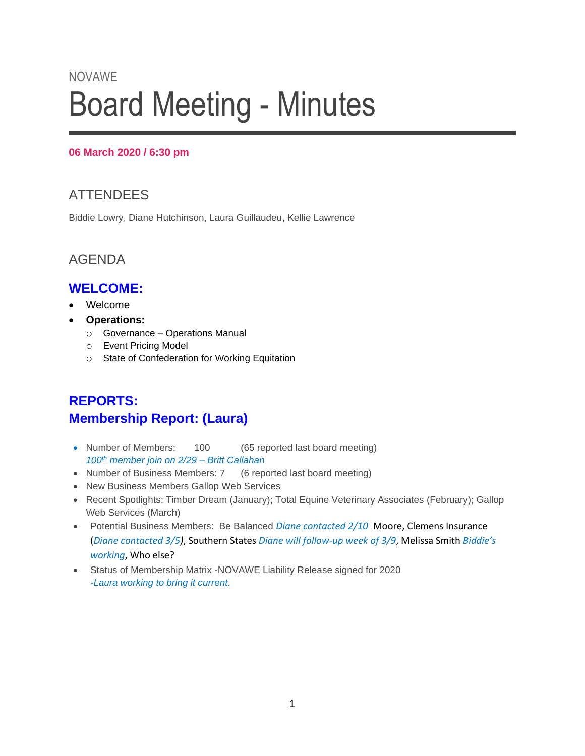# NOVAWE Board Meeting - Minutes

#### **06 March 2020 / 6:30 pm**

# **ATTENDEES**

Biddie Lowry, Diane Hutchinson, Laura Guillaudeu, Kellie Lawrence

## AGENDA

## **WELCOME:**

- Welcome
- **Operations:**
	- o Governance Operations Manual
	- o Event Pricing Model
	- o State of Confederation for Working Equitation

# **REPORTS: Membership Report: (Laura)**

- Number of Members: 100 (65 reported last board meeting) *100th member join on 2/29 – Britt Callahan*
- Number of Business Members: 7 (6 reported last board meeting)
- New Business Members Gallop Web Services
- Recent Spotlights: Timber Dream (January); Total Equine Veterinary Associates (February); Gallop Web Services (March)
- Potential Business Members: Be Balanced *Diane contacted 2/10* Moore, Clemens Insurance (*Diane contacted 3/5)*, Southern States *Diane will follow-up week of 3/9*, Melissa Smith *Biddie's working*, Who else?
- Status of Membership Matrix -NOVAWE Liability Release signed for 2020 *-Laura working to bring it current.*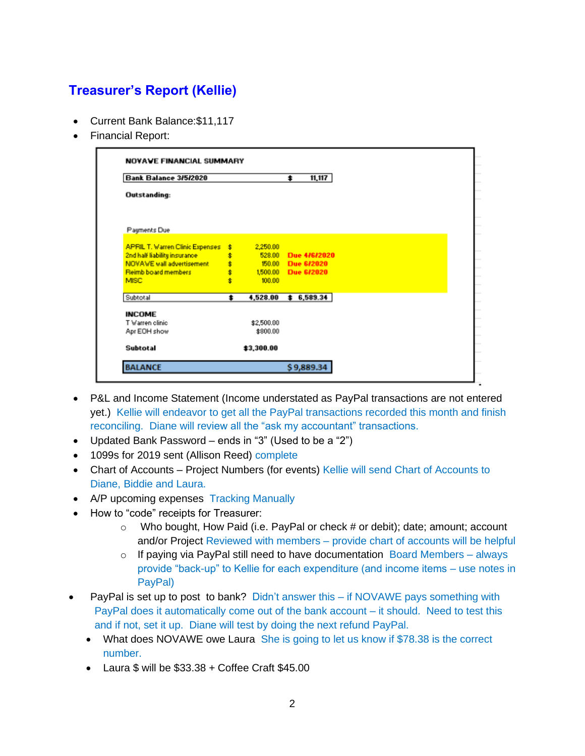# **Treasurer's Report (Kellie)**

- Current Bank Balance:\$11,117
- Financial Report:

| Bank Balance 3/5/2020                  |     |            | \$                | 11,117 |  |  |  |
|----------------------------------------|-----|------------|-------------------|--------|--|--|--|
| <b>Outstanding:</b>                    |     |            |                   |        |  |  |  |
| Payments Due                           |     |            |                   |        |  |  |  |
| <b>APRIL T. Warren Clinic Expenses</b> | \$. | 2,250.00   |                   |        |  |  |  |
| 2nd half liability insurance           | \$  | 528.00     | Due 4/6/2020      |        |  |  |  |
| NOVAWE wall advertisement              | \$  |            | 150.00 Due 6/2020 |        |  |  |  |
| <b>Reimb board members</b>             | \$  | 1,500.00   | Due 6/2020        |        |  |  |  |
| <b>MISC</b>                            | Ł   | 100.00     |                   |        |  |  |  |
| Subtotal                               | ±   | 4,528.00   | \$6,589.34        |        |  |  |  |
| <b>INCOME</b>                          |     |            |                   |        |  |  |  |
| T Warren clinic                        |     | \$2,500.00 |                   |        |  |  |  |
| Apr EOH show                           |     | \$800.00   |                   |        |  |  |  |
| <b>Subtotal</b>                        |     | \$3,300.00 |                   |        |  |  |  |

- P&L and Income Statement (Income understated as PayPal transactions are not entered yet.) Kellie will endeavor to get all the PayPal transactions recorded this month and finish reconciling. Diane will review all the "ask my accountant" transactions.
- Updated Bank Password ends in "3" (Used to be a "2")
- 1099s for 2019 sent (Allison Reed) complete
- Chart of Accounts Project Numbers (for events) Kellie will send Chart of Accounts to Diane, Biddie and Laura.
- A/P upcoming expenses Tracking Manually
- How to "code" receipts for Treasurer:
	- $\circ$  Who bought, How Paid (i.e. PayPal or check # or debit); date; amount; account and/or Project Reviewed with members – provide chart of accounts will be helpful
	- $\circ$  If paying via PayPal still need to have documentation Board Members always provide "back-up" to Kellie for each expenditure (and income items – use notes in PayPal)
- PayPal is set up to post to bank? Didn't answer this if NOVAWE pays something with PayPal does it automatically come out of the bank account – it should. Need to test this and if not, set it up. Diane will test by doing the next refund PayPal.
	- What does NOVAWE owe Laura She is going to let us know if \$78.38 is the correct number.
	- Laura \$ will be \$33.38 + Coffee Craft \$45.00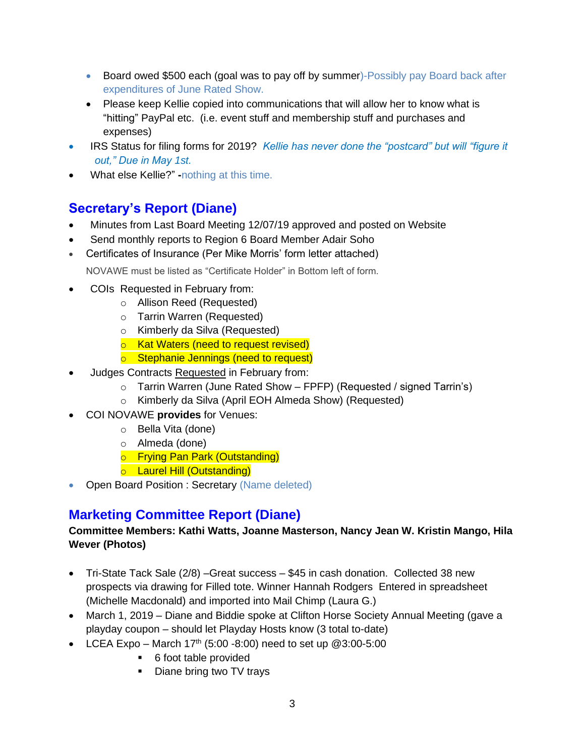- Board owed \$500 each (goal was to pay off by summer)-Possibly pay Board back after expenditures of June Rated Show.
- Please keep Kellie copied into communications that will allow her to know what is "hitting" PayPal etc. (i.e. event stuff and membership stuff and purchases and expenses)
- IRS Status for filing forms for 2019? Kellie has never done the "postcard" but will "figure it *out," Due in May 1st.*
- What else Kellie?" **-**nothing at this time.

# **Secretary's Report (Diane)**

- Minutes from Last Board Meeting 12/07/19 approved and posted on Website
- Send monthly reports to Region 6 Board Member Adair Soho
- Certificates of Insurance (Per Mike Morris' form letter attached)

NOVAWE must be listed as "Certificate Holder" in Bottom left of form.

- COIs Requested in February from:
	- o Allison Reed (Requested)
	- o Tarrin Warren (Requested)
	- o Kimberly da Silva (Requested)
	- o Kat Waters (need to request revised)
	- o Stephanie Jennings (need to request)
- Judges Contracts Requested in February from:
	- $\circ$  Tarrin Warren (June Rated Show FPFP) (Requested / signed Tarrin's)
	- o Kimberly da Silva (April EOH Almeda Show) (Requested)
- COI NOVAWE **provides** for Venues:
	- o Bella Vita (done)
	- o Almeda (done)
	- o Frying Pan Park (Outstanding)
	- o Laurel Hill (Outstanding)
- Open Board Position : Secretary (Name deleted)

## **Marketing Committee Report (Diane)**

#### **Committee Members: Kathi Watts, Joanne Masterson, Nancy Jean W. Kristin Mango, Hila Wever (Photos)**

- Tri-State Tack Sale (2/8) –Great success \$45 in cash donation. Collected 38 new prospects via drawing for Filled tote. Winner Hannah Rodgers Entered in spreadsheet (Michelle Macdonald) and imported into Mail Chimp (Laura G.)
- March 1, 2019 Diane and Biddie spoke at Clifton Horse Society Annual Meeting (gave a playday coupon – should let Playday Hosts know (3 total to-date)
- LCEA Expo March  $17<sup>th</sup>$  (5:00 -8:00) need to set up  $@3:00$ -5:00
	- 6 foot table provided
	- Diane bring two TV trays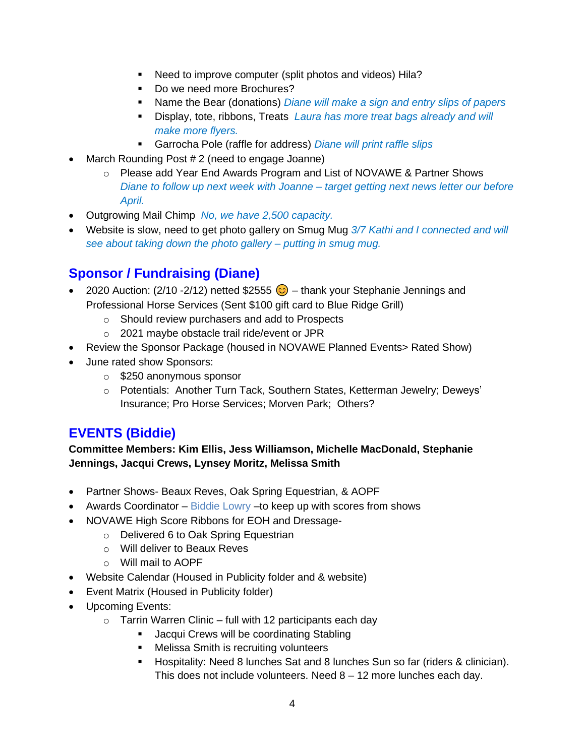- Need to improve computer (split photos and videos) Hila?
- Do we need more Brochures?
- Name the Bear (donations) *Diane will make a sign and entry slips of papers*
- Display, tote, ribbons, Treats *Laura has more treat bags already and will make more flyers.*
- Garrocha Pole (raffle for address) *Diane will print raffle slips*
- March Rounding Post # 2 (need to engage Joanne)
	- o Please add Year End Awards Program and List of NOVAWE & Partner Shows *Diane to follow up next week with Joanne – target getting next news letter our before April.*
- Outgrowing Mail Chimp *No, we have 2,500 capacity.*
- Website is slow, need to get photo gallery on Smug Mug *3/7 Kathi and I connected and will see about taking down the photo gallery – putting in smug mug.*

## **Sponsor / Fundraising (Diane)**

- 2020 Auction: (2/10 -2/12) netted \$2555  $\bigodot$  thank your Stephanie Jennings and Professional Horse Services (Sent \$100 gift card to Blue Ridge Grill)
	- o Should review purchasers and add to Prospects
	- o 2021 maybe obstacle trail ride/event or JPR
- Review the Sponsor Package (housed in NOVAWE Planned Events> Rated Show)
- June rated show Sponsors:
	- o \$250 anonymous sponsor
	- o Potentials: Another Turn Tack, Southern States, Ketterman Jewelry; Deweys' Insurance; Pro Horse Services; Morven Park; Others?

## **EVENTS (Biddie)**

**Committee Members: Kim Ellis, Jess Williamson, Michelle MacDonald, Stephanie Jennings, Jacqui Crews, Lynsey Moritz, Melissa Smith**

- Partner Shows- Beaux Reves, Oak Spring Equestrian, & AOPF
- Awards Coordinator Biddie Lowry to keep up with scores from shows
- NOVAWE High Score Ribbons for EOH and Dressage
	- o Delivered 6 to Oak Spring Equestrian
	- o Will deliver to Beaux Reves
	- o Will mail to AOPF
- Website Calendar (Housed in Publicity folder and & website)
- Event Matrix (Housed in Publicity folder)
- Upcoming Events:
	- $\circ$  Tarrin Warren Clinic full with 12 participants each day
		- Jacqui Crews will be coordinating Stabling
		- Melissa Smith is recruiting volunteers
		- Hospitality: Need 8 lunches Sat and 8 lunches Sun so far (riders & clinician). This does not include volunteers. Need 8 – 12 more lunches each day.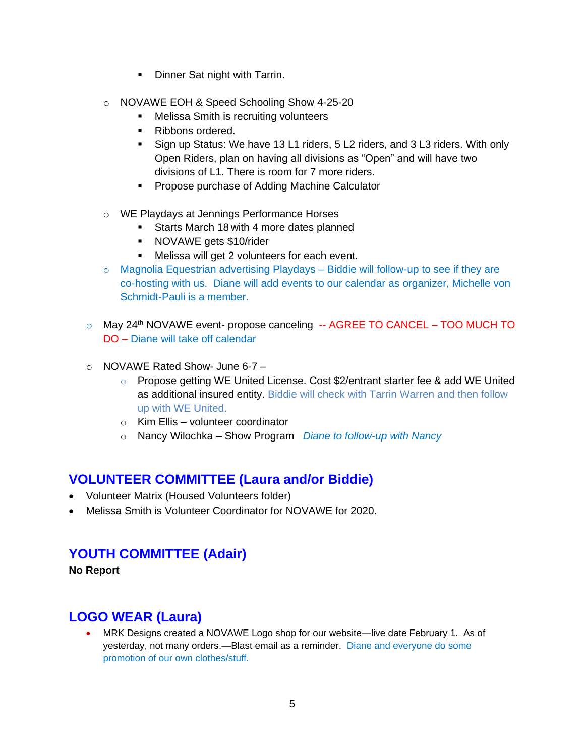- Dinner Sat night with Tarrin.
- o NOVAWE EOH & Speed Schooling Show 4-25-20
	- **Melissa Smith is recruiting volunteers**
	- Ribbons ordered.
	- Sign up Status: We have 13 L1 riders, 5 L2 riders, and 3 L3 riders. With only Open Riders, plan on having all divisions as "Open" and will have two divisions of L1. There is room for 7 more riders.
	- Propose purchase of Adding Machine Calculator
- o WE Playdays at Jennings Performance Horses
	- **EXEC** Starts March 18 with 4 more dates planned
	- NOVAWE gets \$10/rider
	- Melissa will get 2 volunteers for each event.
- $\circ$  Magnolia Equestrian advertising Playdays Biddie will follow-up to see if they are co-hosting with us. Diane will add events to our calendar as organizer, Michelle von Schmidt-Pauli is a member.
- $\circ$  May 24<sup>th</sup> NOVAWE event- propose canceling -- AGREE TO CANCEL TOO MUCH TO DO – Diane will take off calendar
- $\circ$  NOVAWE Rated Show- June 6-7
	- $\circ$  Propose getting WE United License. Cost \$2/entrant starter fee & add WE United as additional insured entity. Biddie will check with Tarrin Warren and then follow up with WE United.
	- o Kim Ellis volunteer coordinator
	- o Nancy Wilochka Show Program *Diane to follow-up with Nancy*

#### **VOLUNTEER COMMITTEE (Laura and/or Biddie)**

- Volunteer Matrix (Housed Volunteers folder)
- Melissa Smith is Volunteer Coordinator for NOVAWE for 2020.

#### **YOUTH COMMITTEE (Adair)**

**No Report**

## **LOGO WEAR (Laura)**

• MRK Designs created a NOVAWE Logo shop for our website—live date February 1. As of yesterday, not many orders.—Blast email as a reminder. Diane and everyone do some promotion of our own clothes/stuff.